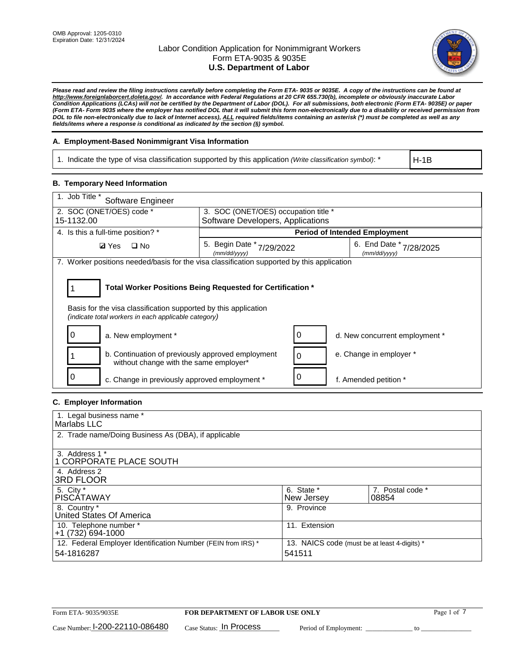

*Please read and review the filing instructions carefully before completing the Form ETA- 9035 or 9035E. A copy of the instructions can be found at http://www.foreignlaborcert.doleta.gov/. In accordance with Federal Regulations at 20 CFR 655.730(b), incomplete or obviously inaccurate Labor Condition Applications (LCAs) will not be certified by the Department of Labor (DOL). For all submissions, both electronic (Form ETA- 9035E) or paper (Form ETA- Form 9035 where the employer has notified DOL that it will submit this form non-electronically due to a disability or received permission from DOL to file non-electronically due to lack of Internet access), ALL required fields/items containing an asterisk (\*) must be completed as well as any fields/items where a response is conditional as indicated by the section (§) symbol.* 

## **A. Employment-Based Nonimmigrant Visa Information**

1. Indicate the type of visa classification supported by this application *(Write classification symbol)*: \*

H-1B

### **B. Temporary Need Information**

| 1. Job Title *<br>Software Engineer                                                                                                                                                   |                                                                                            |   |                                |  |  |  |
|---------------------------------------------------------------------------------------------------------------------------------------------------------------------------------------|--------------------------------------------------------------------------------------------|---|--------------------------------|--|--|--|
| 2. SOC (ONET/OES) code *                                                                                                                                                              | 3. SOC (ONET/OES) occupation title *                                                       |   |                                |  |  |  |
| 15-1132.00                                                                                                                                                                            | Software Developers, Applications                                                          |   |                                |  |  |  |
| 4. Is this a full-time position? *                                                                                                                                                    | <b>Period of Intended Employment</b>                                                       |   |                                |  |  |  |
| $\Box$ No<br><b>Ø</b> Yes                                                                                                                                                             | 5. Begin Date *<br>6. End Date *<br>7/29/2022<br>7/28/2025<br>(mm/dd/yyyy)<br>(mm/dd/yyyy) |   |                                |  |  |  |
| 7. Worker positions needed/basis for the visa classification supported by this application                                                                                            |                                                                                            |   |                                |  |  |  |
| Total Worker Positions Being Requested for Certification *<br>Basis for the visa classification supported by this application<br>(indicate total workers in each applicable category) |                                                                                            |   |                                |  |  |  |
| 0<br>a. New employment *                                                                                                                                                              |                                                                                            | 0 | d. New concurrent employment * |  |  |  |
| b. Continuation of previously approved employment<br>without change with the same employer*                                                                                           |                                                                                            |   | e. Change in employer *        |  |  |  |
| c. Change in previously approved employment *                                                                                                                                         |                                                                                            |   | f. Amended petition *          |  |  |  |

## **C. Employer Information**

| 1. Legal business name *                                     |                                              |                  |
|--------------------------------------------------------------|----------------------------------------------|------------------|
| Marlabs LLC                                                  |                                              |                  |
|                                                              |                                              |                  |
| 2. Trade name/Doing Business As (DBA), if applicable         |                                              |                  |
|                                                              |                                              |                  |
| 3. Address 1 *                                               |                                              |                  |
| 1 CORPORATE PLACE SOUTH                                      |                                              |                  |
| 4. Address 2                                                 |                                              |                  |
| <b>3RD FLOOR</b>                                             |                                              |                  |
| 5. City *                                                    | 6. State *                                   | 7. Postal code * |
| PISCÁTAWAY                                                   | New Jersey                                   | 08854            |
| 8. Country *                                                 | 9. Province                                  |                  |
| United States Of America                                     |                                              |                  |
| 10. Telephone number *                                       | 11. Extension                                |                  |
| +1 (732) 694-1000                                            |                                              |                  |
| 12. Federal Employer Identification Number (FEIN from IRS) * | 13. NAICS code (must be at least 4-digits) * |                  |
| 54-1816287                                                   | 541511                                       |                  |
|                                                              |                                              |                  |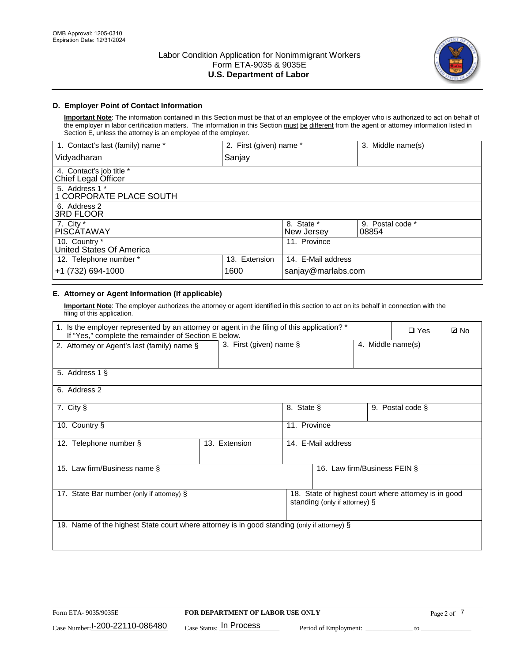

# **D. Employer Point of Contact Information**

**Important Note**: The information contained in this Section must be that of an employee of the employer who is authorized to act on behalf of the employer in labor certification matters. The information in this Section must be different from the agent or attorney information listed in Section E, unless the attorney is an employee of the employer.

| 1. Contact's last (family) name *               | 2. First (given) name * |                          | 3. Middle name(s)         |
|-------------------------------------------------|-------------------------|--------------------------|---------------------------|
| Vidyadharan                                     | Sanjay                  |                          |                           |
| 4. Contact's job title *<br>Chief Legal Officer |                         |                          |                           |
| 5. Address 1 *<br>1 CORPORATE PLACE SOUTH       |                         |                          |                           |
| 6. Address 2<br><b>3RD FLOOR</b>                |                         |                          |                           |
| 7. City *<br><b>PISCÁTAWAY</b>                  |                         | 8. State *<br>New Jersey | 9. Postal code *<br>08854 |
| 10. Country *<br>United States Of America       |                         | 11. Province             |                           |
| 12. Telephone number *                          | 13. Extension           | 14. E-Mail address       |                           |
| +1 (732) 694-1000                               | 1600                    | sanjay@marlabs.com       |                           |

# **E. Attorney or Agent Information (If applicable)**

**Important Note**: The employer authorizes the attorney or agent identified in this section to act on its behalf in connection with the filing of this application.

| 1. Is the employer represented by an attorney or agent in the filing of this application? *<br>If "Yes," complete the remainder of Section E below. |                         | $\Box$ Yes   | <b>ØNo</b>                    |                   |                                                      |  |
|-----------------------------------------------------------------------------------------------------------------------------------------------------|-------------------------|--------------|-------------------------------|-------------------|------------------------------------------------------|--|
| 2. Attorney or Agent's last (family) name §                                                                                                         | 3. First (given) name § |              |                               | 4. Middle name(s) |                                                      |  |
| 5. Address 1 §                                                                                                                                      |                         |              |                               |                   |                                                      |  |
| 6. Address 2                                                                                                                                        |                         |              |                               |                   |                                                      |  |
| 7. City §                                                                                                                                           |                         | 8. State §   |                               |                   | 9. Postal code §                                     |  |
| 10. Country §                                                                                                                                       |                         | 11. Province |                               |                   |                                                      |  |
| 12. Telephone number §                                                                                                                              | 13. Extension           |              | 14. E-Mail address            |                   |                                                      |  |
| 15. Law firm/Business name §                                                                                                                        |                         |              | 16. Law firm/Business FEIN §  |                   |                                                      |  |
| 17. State Bar number (only if attorney) §                                                                                                           |                         |              | standing (only if attorney) § |                   | 18. State of highest court where attorney is in good |  |
| 19. Name of the highest State court where attorney is in good standing (only if attorney) §                                                         |                         |              |                               |                   |                                                      |  |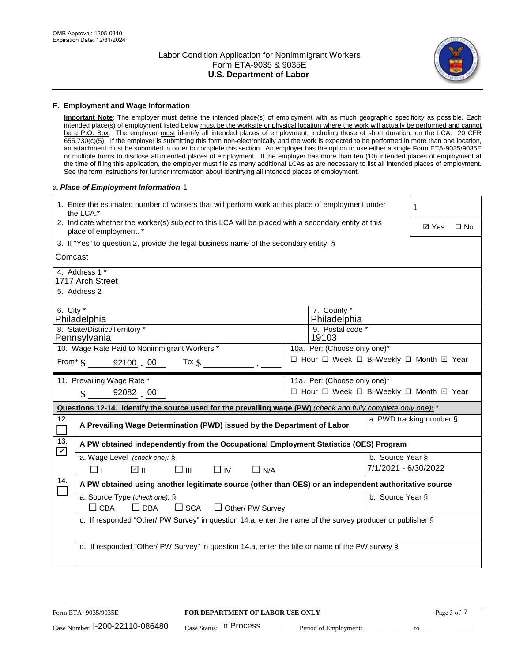

### **F. Employment and Wage Information**

**Important Note**: The employer must define the intended place(s) of employment with as much geographic specificity as possible. Each intended place(s) of employment listed below must be the worksite or physical location where the work will actually be performed and cannot be a P.O. Box. The employer must identify all intended places of employment, including those of short duration, on the LCA. 20 CFR 655.730(c)(5). If the employer is submitting this form non-electronically and the work is expected to be performed in more than one location, an attachment must be submitted in order to complete this section. An employer has the option to use either a single Form ETA-9035/9035E or multiple forms to disclose all intended places of employment. If the employer has more than ten (10) intended places of employment at the time of filing this application, the employer must file as many additional LCAs as are necessary to list all intended places of employment. See the form instructions for further information about identifying all intended places of employment.

### a.*Place of Employment Information* 1

|                                                                                    | 1. Enter the estimated number of workers that will perform work at this place of employment under<br>the LCA.*                 |  |                                          |                      | 1                        |              |  |
|------------------------------------------------------------------------------------|--------------------------------------------------------------------------------------------------------------------------------|--|------------------------------------------|----------------------|--------------------------|--------------|--|
|                                                                                    | 2. Indicate whether the worker(s) subject to this LCA will be placed with a secondary entity at this<br>place of employment. * |  |                                          |                      | <b>Ø</b> Yes             | $\square$ No |  |
|                                                                                    | 3. If "Yes" to question 2, provide the legal business name of the secondary entity. §                                          |  |                                          |                      |                          |              |  |
| Comcast                                                                            |                                                                                                                                |  |                                          |                      |                          |              |  |
|                                                                                    | 4. Address 1 *<br>1717 Arch Street                                                                                             |  |                                          |                      |                          |              |  |
|                                                                                    | 5. Address 2                                                                                                                   |  |                                          |                      |                          |              |  |
|                                                                                    | 6. City $*$<br>7. County *<br>Philadelphia<br>Philadelphia                                                                     |  |                                          |                      |                          |              |  |
|                                                                                    | 8. State/District/Territory *<br>Pennsylvania                                                                                  |  | 9. Postal code *<br>19103                |                      |                          |              |  |
|                                                                                    | 10. Wage Rate Paid to Nonimmigrant Workers *                                                                                   |  | 10a. Per: (Choose only one)*             |                      |                          |              |  |
| □ Hour □ Week □ Bi-Weekly □ Month ☑ Year<br>From $\frac{1}{5}$ 92100 00<br>To: $$$ |                                                                                                                                |  |                                          |                      |                          |              |  |
|                                                                                    | 11. Prevailing Wage Rate *                                                                                                     |  | 11a. Per: (Choose only one)*             |                      |                          |              |  |
|                                                                                    | $\sin 92082$ 00                                                                                                                |  | □ Hour □ Week □ Bi-Weekly □ Month ☑ Year |                      |                          |              |  |
|                                                                                    | Questions 12-14. Identify the source used for the prevailing wage (PW) (check and fully complete only one): *                  |  |                                          |                      |                          |              |  |
| 12.                                                                                | A Prevailing Wage Determination (PWD) issued by the Department of Labor                                                        |  |                                          |                      | a. PWD tracking number § |              |  |
| 13.<br>$\mathbf v$                                                                 | A PW obtained independently from the Occupational Employment Statistics (OES) Program                                          |  |                                          |                      |                          |              |  |
|                                                                                    | a. Wage Level (check one): §                                                                                                   |  |                                          | b. Source Year §     |                          |              |  |
|                                                                                    | ☑ ⊪<br>$\square$ $\square$<br>$\Box$ IV<br>$\Box$ N/A<br>□⊥                                                                    |  |                                          | 7/1/2021 - 6/30/2022 |                          |              |  |
| 14.                                                                                | A PW obtained using another legitimate source (other than OES) or an independent authoritative source                          |  |                                          |                      |                          |              |  |
|                                                                                    | a. Source Type (check one): §<br>$\Box$ CBA<br>$\Box$ DBA<br>$\square$ SCA<br>$\Box$ Other/ PW Survey                          |  |                                          | b. Source Year §     |                          |              |  |
|                                                                                    | c. If responded "Other/ PW Survey" in question 14.a, enter the name of the survey producer or publisher §                      |  |                                          |                      |                          |              |  |
|                                                                                    | d. If responded "Other/ PW Survey" in question 14.a, enter the title or name of the PW survey §                                |  |                                          |                      |                          |              |  |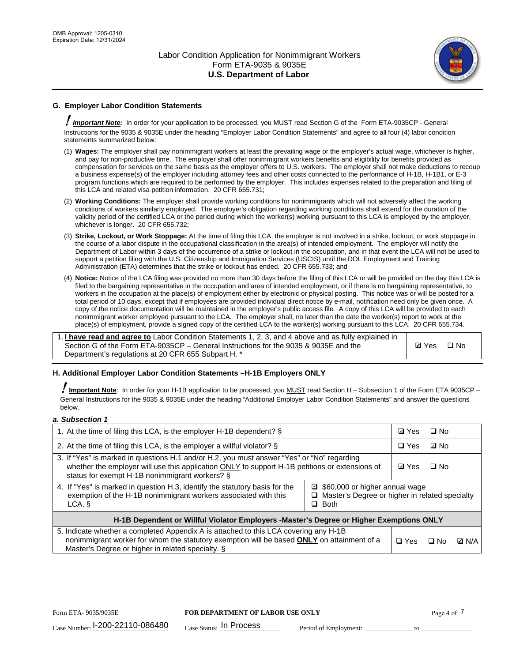

# **G. Employer Labor Condition Statements**

! *Important Note:* In order for your application to be processed, you MUST read Section G of the Form ETA-9035CP - General Instructions for the 9035 & 9035E under the heading "Employer Labor Condition Statements" and agree to all four (4) labor condition statements summarized below:

- (1) **Wages:** The employer shall pay nonimmigrant workers at least the prevailing wage or the employer's actual wage, whichever is higher, and pay for non-productive time. The employer shall offer nonimmigrant workers benefits and eligibility for benefits provided as compensation for services on the same basis as the employer offers to U.S. workers. The employer shall not make deductions to recoup a business expense(s) of the employer including attorney fees and other costs connected to the performance of H-1B, H-1B1, or E-3 program functions which are required to be performed by the employer. This includes expenses related to the preparation and filing of this LCA and related visa petition information. 20 CFR 655.731;
- (2) **Working Conditions:** The employer shall provide working conditions for nonimmigrants which will not adversely affect the working conditions of workers similarly employed. The employer's obligation regarding working conditions shall extend for the duration of the validity period of the certified LCA or the period during which the worker(s) working pursuant to this LCA is employed by the employer, whichever is longer. 20 CFR 655.732;
- (3) **Strike, Lockout, or Work Stoppage:** At the time of filing this LCA, the employer is not involved in a strike, lockout, or work stoppage in the course of a labor dispute in the occupational classification in the area(s) of intended employment. The employer will notify the Department of Labor within 3 days of the occurrence of a strike or lockout in the occupation, and in that event the LCA will not be used to support a petition filing with the U.S. Citizenship and Immigration Services (USCIS) until the DOL Employment and Training Administration (ETA) determines that the strike or lockout has ended. 20 CFR 655.733; and
- (4) **Notice:** Notice of the LCA filing was provided no more than 30 days before the filing of this LCA or will be provided on the day this LCA is filed to the bargaining representative in the occupation and area of intended employment, or if there is no bargaining representative, to workers in the occupation at the place(s) of employment either by electronic or physical posting. This notice was or will be posted for a total period of 10 days, except that if employees are provided individual direct notice by e-mail, notification need only be given once. A copy of the notice documentation will be maintained in the employer's public access file. A copy of this LCA will be provided to each nonimmigrant worker employed pursuant to the LCA. The employer shall, no later than the date the worker(s) report to work at the place(s) of employment, provide a signed copy of the certified LCA to the worker(s) working pursuant to this LCA. 20 CFR 655.734.

1. **I have read and agree to** Labor Condition Statements 1, 2, 3, and 4 above and as fully explained in Section G of the Form ETA-9035CP – General Instructions for the 9035 & 9035E and the Department's regulations at 20 CFR 655 Subpart H. \*

**Ø**Yes ロNo

### **H. Additional Employer Labor Condition Statements –H-1B Employers ONLY**

!**Important Note***:* In order for your H-1B application to be processed, you MUST read Section H – Subsection 1 of the Form ETA 9035CP – General Instructions for the 9035 & 9035E under the heading "Additional Employer Labor Condition Statements" and answer the questions below.

#### *a. Subsection 1*

| 1. At the time of filing this LCA, is the employer H-1B dependent? §                                                                                                                                                                           |                                                                                                     |            | □ No         |  |
|------------------------------------------------------------------------------------------------------------------------------------------------------------------------------------------------------------------------------------------------|-----------------------------------------------------------------------------------------------------|------------|--------------|--|
| 2. At the time of filing this LCA, is the employer a willful violator? $\S$                                                                                                                                                                    |                                                                                                     | $\Box$ Yes | ⊡ No         |  |
| 3. If "Yes" is marked in questions H.1 and/or H.2, you must answer "Yes" or "No" regarding<br>whether the employer will use this application ONLY to support H-1B petitions or extensions of<br>status for exempt H-1B nonimmigrant workers? § |                                                                                                     |            | $\Box$ No    |  |
| 4. If "Yes" is marked in question H.3, identify the statutory basis for the<br>exemption of the H-1B nonimmigrant workers associated with this<br>LCA. §                                                                                       | ■ \$60,000 or higher annual wage<br>□ Master's Degree or higher in related specialty<br>$\Box$ Both |            |              |  |
| H-1B Dependent or Willful Violator Employers -Master's Degree or Higher Exemptions ONLY                                                                                                                                                        |                                                                                                     |            |              |  |
| 5. Indicate whether a completed Appendix A is attached to this LCA covering any H-1B<br>nonimmigrant worker for whom the statutory exemption will be based <b>ONLY</b> on attainment of a<br>Master's Degree or higher in related specialty. § | $\Box$ Yes                                                                                          | ⊡ No       | <b>D</b> N/A |  |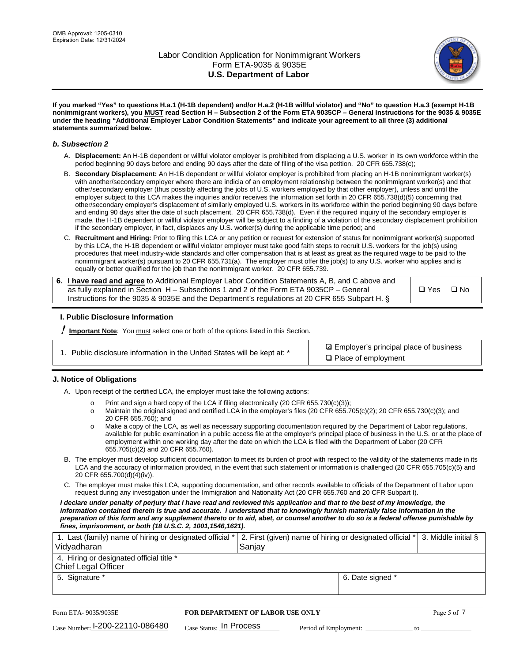

**If you marked "Yes" to questions H.a.1 (H-1B dependent) and/or H.a.2 (H-1B willful violator) and "No" to question H.a.3 (exempt H-1B nonimmigrant workers), you MUST read Section H – Subsection 2 of the Form ETA 9035CP – General Instructions for the 9035 & 9035E under the heading "Additional Employer Labor Condition Statements" and indicate your agreement to all three (3) additional statements summarized below.**

### *b. Subsection 2*

- A. **Displacement:** An H-1B dependent or willful violator employer is prohibited from displacing a U.S. worker in its own workforce within the period beginning 90 days before and ending 90 days after the date of filing of the visa petition. 20 CFR 655.738(c);
- B. **Secondary Displacement:** An H-1B dependent or willful violator employer is prohibited from placing an H-1B nonimmigrant worker(s) with another/secondary employer where there are indicia of an employment relationship between the nonimmigrant worker(s) and that other/secondary employer (thus possibly affecting the jobs of U.S. workers employed by that other employer), unless and until the employer subject to this LCA makes the inquiries and/or receives the information set forth in 20 CFR 655.738(d)(5) concerning that other/secondary employer's displacement of similarly employed U.S. workers in its workforce within the period beginning 90 days before and ending 90 days after the date of such placement. 20 CFR 655.738(d). Even if the required inquiry of the secondary employer is made, the H-1B dependent or willful violator employer will be subject to a finding of a violation of the secondary displacement prohibition if the secondary employer, in fact, displaces any U.S. worker(s) during the applicable time period; and
- C. **Recruitment and Hiring:** Prior to filing this LCA or any petition or request for extension of status for nonimmigrant worker(s) supported by this LCA, the H-1B dependent or willful violator employer must take good faith steps to recruit U.S. workers for the job(s) using procedures that meet industry-wide standards and offer compensation that is at least as great as the required wage to be paid to the nonimmigrant worker(s) pursuant to 20 CFR 655.731(a). The employer must offer the job(s) to any U.S. worker who applies and is equally or better qualified for the job than the nonimmigrant worker. 20 CFR 655.739.

| 6. I have read and agree to Additional Employer Labor Condition Statements A, B, and C above and |       |           |
|--------------------------------------------------------------------------------------------------|-------|-----------|
| as fully explained in Section H – Subsections 1 and 2 of the Form ETA 9035CP – General           | □ Yes | $\Box$ No |
| Instructions for the 9035 & 9035E and the Department's regulations at 20 CFR 655 Subpart H. §    |       |           |

### **I. Public Disclosure Information**

! **Important Note***:* You must select one or both of the options listed in this Section.

|  | 1. Public disclosure information in the United States will be kept at: * |  |  |  |
|--|--------------------------------------------------------------------------|--|--|--|
|  |                                                                          |  |  |  |

**sqrt** Employer's principal place of business □ Place of employment

### **J. Notice of Obligations**

A. Upon receipt of the certified LCA, the employer must take the following actions:

- o Print and sign a hard copy of the LCA if filing electronically (20 CFR 655.730(c)(3));<br>
Maintain the original signed and certified LCA in the employer's files (20 CFR 655.7
- Maintain the original signed and certified LCA in the employer's files (20 CFR 655.705(c)(2); 20 CFR 655.730(c)(3); and 20 CFR 655.760); and
- o Make a copy of the LCA, as well as necessary supporting documentation required by the Department of Labor regulations, available for public examination in a public access file at the employer's principal place of business in the U.S. or at the place of employment within one working day after the date on which the LCA is filed with the Department of Labor (20 CFR 655.705(c)(2) and 20 CFR 655.760).
- B. The employer must develop sufficient documentation to meet its burden of proof with respect to the validity of the statements made in its LCA and the accuracy of information provided, in the event that such statement or information is challenged (20 CFR 655.705(c)(5) and 20 CFR 655.700(d)(4)(iv)).
- C. The employer must make this LCA, supporting documentation, and other records available to officials of the Department of Labor upon request during any investigation under the Immigration and Nationality Act (20 CFR 655.760 and 20 CFR Subpart I).

*I declare under penalty of perjury that I have read and reviewed this application and that to the best of my knowledge, the*  information contained therein is true and accurate. I understand that to knowingly furnish materially false information in the *preparation of this form and any supplement thereto or to aid, abet, or counsel another to do so is a federal offense punishable by fines, imprisonment, or both (18 U.S.C. 2, 1001,1546,1621).*

| 1. Last (family) name of hiring or designated official *<br>Vidyadharan | 2. First (given) name of hiring or designated official * 3. Middle initial §<br>Sanjay |                  |  |
|-------------------------------------------------------------------------|----------------------------------------------------------------------------------------|------------------|--|
| 4. Hiring or designated official title *<br>Chief Legal Officer         |                                                                                        |                  |  |
| 5. Signature *                                                          |                                                                                        | 6. Date signed * |  |

| Form ETA-9035/9035E                         | <b>FOR DEPARTMENT OF LABOR USE ONLY</b> |                       |  | Page 5 of $\cdot$ |
|---------------------------------------------|-----------------------------------------|-----------------------|--|-------------------|
| $_{\text{Case Number:}}$ I-200-22110-086480 | $Case$ Status: In Process               | Period of Employment: |  |                   |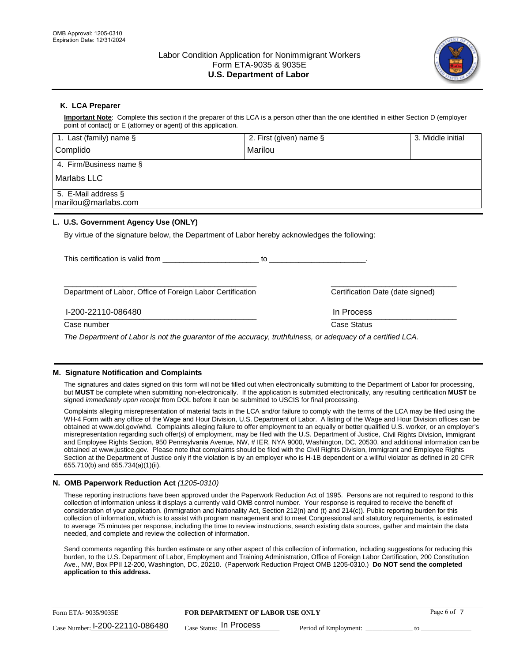

## **K. LCA Preparer**

**Important Note**: Complete this section if the preparer of this LCA is a person other than the one identified in either Section D (employer point of contact) or E (attorney or agent) of this application.

| 1. Last (family) name $\S$                                                                   | 2. First (given) name §                                                                                                                                                                                                        | 3. Middle initial                |
|----------------------------------------------------------------------------------------------|--------------------------------------------------------------------------------------------------------------------------------------------------------------------------------------------------------------------------------|----------------------------------|
| Complido                                                                                     | Marilou                                                                                                                                                                                                                        |                                  |
| 4. Firm/Business name §                                                                      |                                                                                                                                                                                                                                |                                  |
| Marlabs LLC                                                                                  |                                                                                                                                                                                                                                |                                  |
| 5. E-Mail address §<br>marilou@marlabs.com                                                   |                                                                                                                                                                                                                                |                                  |
| L. U.S. Government Agency Use (ONLY)                                                         |                                                                                                                                                                                                                                |                                  |
| By virtue of the signature below, the Department of Labor hereby acknowledges the following: |                                                                                                                                                                                                                                |                                  |
| This certification is valid from                                                             | to the contract of the contract of the contract of the contract of the contract of the contract of the contract of the contract of the contract of the contract of the contract of the contract of the contract of the contrac |                                  |
| Department of Labor, Office of Foreign Labor Certification                                   |                                                                                                                                                                                                                                | Certification Date (date signed) |

\_\_\_\_\_\_\_\_\_\_\_\_\_\_\_\_\_\_\_\_\_\_\_\_\_\_\_\_\_\_\_\_\_\_\_\_\_\_\_\_\_\_\_\_\_\_ \_\_\_\_\_\_\_\_\_\_\_\_\_\_\_\_\_\_\_\_\_\_\_\_\_\_\_\_\_\_ I-200-22110-086480 In Process

Case number **Case Status** Case Status **Case Status** 

*The Department of Labor is not the guarantor of the accuracy, truthfulness, or adequacy of a certified LCA.*

### **M. Signature Notification and Complaints**

The signatures and dates signed on this form will not be filled out when electronically submitting to the Department of Labor for processing, but **MUST** be complete when submitting non-electronically. If the application is submitted electronically, any resulting certification **MUST** be signed *immediately upon receipt* from DOL before it can be submitted to USCIS for final processing.

Complaints alleging misrepresentation of material facts in the LCA and/or failure to comply with the terms of the LCA may be filed using the WH-4 Form with any office of the Wage and Hour Division, U.S. Department of Labor. A listing of the Wage and Hour Division offices can be obtained at www.dol.gov/whd. Complaints alleging failure to offer employment to an equally or better qualified U.S. worker, or an employer's misrepresentation regarding such offer(s) of employment, may be filed with the U.S. Department of Justice, Civil Rights Division, Immigrant and Employee Rights Section, 950 Pennsylvania Avenue, NW, # IER, NYA 9000, Washington, DC, 20530, and additional information can be obtained at www.justice.gov. Please note that complaints should be filed with the Civil Rights Division, Immigrant and Employee Rights Section at the Department of Justice only if the violation is by an employer who is H-1B dependent or a willful violator as defined in 20 CFR 655.710(b) and 655.734(a)(1)(ii).

### **N. OMB Paperwork Reduction Act** *(1205-0310)*

These reporting instructions have been approved under the Paperwork Reduction Act of 1995. Persons are not required to respond to this collection of information unless it displays a currently valid OMB control number. Your response is required to receive the benefit of consideration of your application. (Immigration and Nationality Act, Section 212(n) and (t) and 214(c)). Public reporting burden for this collection of information, which is to assist with program management and to meet Congressional and statutory requirements, is estimated to average 75 minutes per response, including the time to review instructions, search existing data sources, gather and maintain the data needed, and complete and review the collection of information.

Send comments regarding this burden estimate or any other aspect of this collection of information, including suggestions for reducing this burden, to the U.S. Department of Labor, Employment and Training Administration, Office of Foreign Labor Certification, 200 Constitution Ave., NW, Box PPII 12-200, Washington, DC, 20210. (Paperwork Reduction Project OMB 1205-0310.) **Do NOT send the completed application to this address.**

| Form ETA-9035/9035E                         | <b>FOR DEPARTMENT OF LABOR USE ONLY</b> | Page 6 of             |  |
|---------------------------------------------|-----------------------------------------|-----------------------|--|
| $_{\text{Case Number:}}$ I-200-22110-086480 | $_{\rm Case~S status:}$ In Process      | Period of Employment: |  |